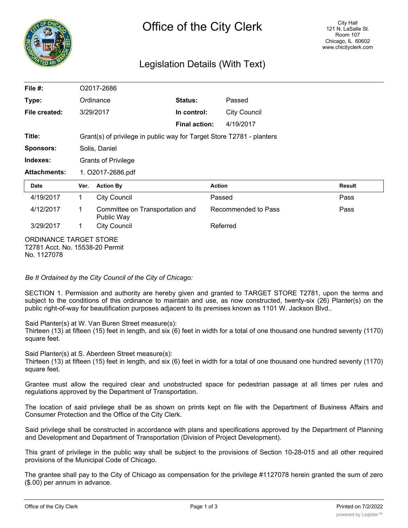

# Legislation Details (With Text)

| File #:                                                   | O2017-2686                                                            |                                               |                      |                     |        |
|-----------------------------------------------------------|-----------------------------------------------------------------------|-----------------------------------------------|----------------------|---------------------|--------|
| Type:                                                     | Ordinance                                                             |                                               | Status:              | Passed              |        |
| File created:                                             | 3/29/2017                                                             |                                               | In control:          | <b>City Council</b> |        |
|                                                           |                                                                       |                                               | <b>Final action:</b> | 4/19/2017           |        |
| Title:                                                    | Grant(s) of privilege in public way for Target Store T2781 - planters |                                               |                      |                     |        |
| <b>Sponsors:</b>                                          | Solis, Daniel                                                         |                                               |                      |                     |        |
| Indexes:                                                  | <b>Grants of Privilege</b>                                            |                                               |                      |                     |        |
| <b>Attachments:</b>                                       | 1. O2017-2686.pdf                                                     |                                               |                      |                     |        |
| <b>Date</b>                                               | Ver.                                                                  | <b>Action By</b>                              |                      | <b>Action</b>       | Result |
| 4/19/2017                                                 | 1.                                                                    | <b>City Council</b>                           |                      | Passed              | Pass   |
| 4/12/2017                                                 | 1                                                                     | Committee on Transportation and<br>Public Way |                      | Recommended to Pass | Pass   |
| 3/29/2017                                                 | 1                                                                     | <b>City Council</b>                           |                      | Referred            |        |
| ORDINANCE TARGET STORE<br>T2781 Acct. No. 15538-20 Permit |                                                                       |                                               |                      |                     |        |

No. 1127078

*Be It Ordained by the City Council of the City of Chicago:*

SECTION 1. Permission and authority are hereby given and granted to TARGET STORE T2781, upon the terms and subject to the conditions of this ordinance to maintain and use, as now constructed, twenty-six (26) Planter(s) on the public right-of-way for beautification purposes adjacent to its premises known as 1101 W. Jackson Blvd..

Said Planter(s) at W. Van Buren Street measure(s):

Thirteen (13) at fifteen (15) feet in length, and six (6) feet in width for a total of one thousand one hundred seventy (1170) square feet.

Said Planter(s) at S. Aberdeen Street measure(s):

Thirteen (13) at fifteen (15) feet in length, and six (6) feet in width for a total of one thousand one hundred seventy (1170) square feet.

Grantee must allow the required clear and unobstructed space for pedestrian passage at all times per rules and regulations approved by the Department of Transportation.

The location of said privilege shall be as shown on prints kept on file with the Department of Business Affairs and Consumer Protection and the Office of the City Clerk.

Said privilege shall be constructed in accordance with plans and specifications approved by the Department of Planning and Development and Department of Transportation (Division of Project Development).

This grant of privilege in the public way shall be subject to the provisions of Section 10-28-015 and all other required provisions of the Municipal Code of Chicago.

The grantee shall pay to the City of Chicago as compensation for the privilege #1127078 herein granted the sum of zero (\$.00) per annum in advance.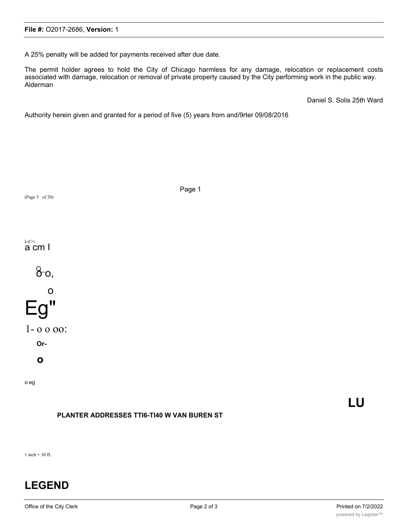A 25% penalty will be added for payments received after due date.

The permit holder agrees to hold the City of Chicago harmless for any damage, relocation or replacement costs associated with damage, relocation or removal of private property caused by the City performing work in the public way. Alderman

Daniel S. Solis 25th Ward

Authority herein given and granted for a period of five (5) years from and/9rter 09/08/2016



**LU**

1 inch  $=$  30 fL

# **LEGEND**